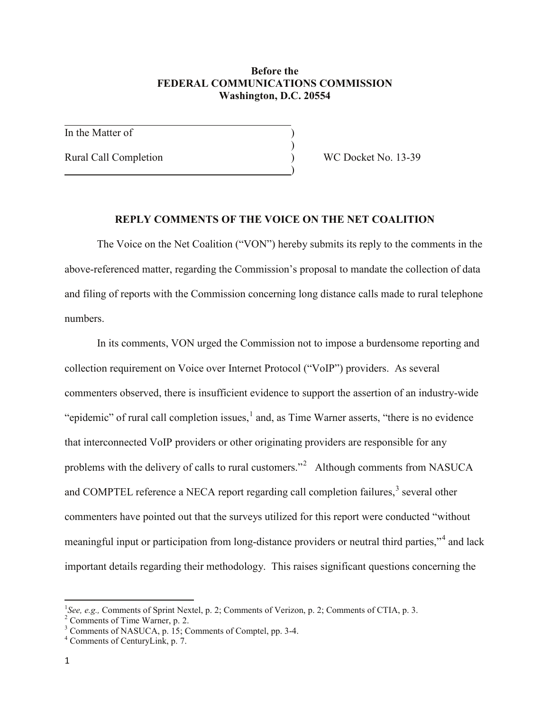## **Before the FEDERAL COMMUNICATIONS COMMISSION Washington, D.C. 20554**

)

)

In the Matter of

Rural Call Completion (a) WC Docket No. 13-39

## **REPLY COMMENTS OF THE VOICE ON THE NET COALITION**

The Voice on the Net Coalition ("VON") hereby submits its reply to the comments in the above-referenced matter, regarding the Commission's proposal to mandate the collection of data and filing of reports with the Commission concerning long distance calls made to rural telephone numbers.

In its comments, VON urged the Commission not to impose a burdensome reporting and collection requirement on Voice over Internet Protocol ("VoIP") providers. As several commenters observed, there is insufficient evidence to support the assertion of an industry-wide "epidemic" of rural call completion issues, <sup>[1](#page-0-0)</sup> and, as Time Warner asserts, "there is no evidence" that interconnected VoIP providers or other originating providers are responsible for any problems with the delivery of calls to rural customers."<sup>[2](#page-0-1)</sup> Although comments from NASUCA and COMPTEL reference a NECA report regarding call completion failures,<sup>[3](#page-0-2)</sup> several other commenters have pointed out that the surveys utilized for this report were conducted "without meaningful input or participation from long-distance providers or neutral third parties,"<sup>[4](#page-0-3)</sup> and lack important details regarding their methodology. This raises significant questions concerning the

<span id="page-0-0"></span> $\frac{1}{1}$ <sup>1</sup>See, e.g., Comments of Sprint Nextel, p. 2; Comments of Verizon, p. 2; Comments of CTIA, p. 3.<br>
<sup>2</sup> Comments of Time Warner, p. 2.<br>
<sup>3</sup> Comments of NASUCA, p. 15; Comments of Comptel, pp. 3-4.<br>
<sup>4</sup> Comments of CenturyL

<span id="page-0-1"></span>

<span id="page-0-3"></span><span id="page-0-2"></span>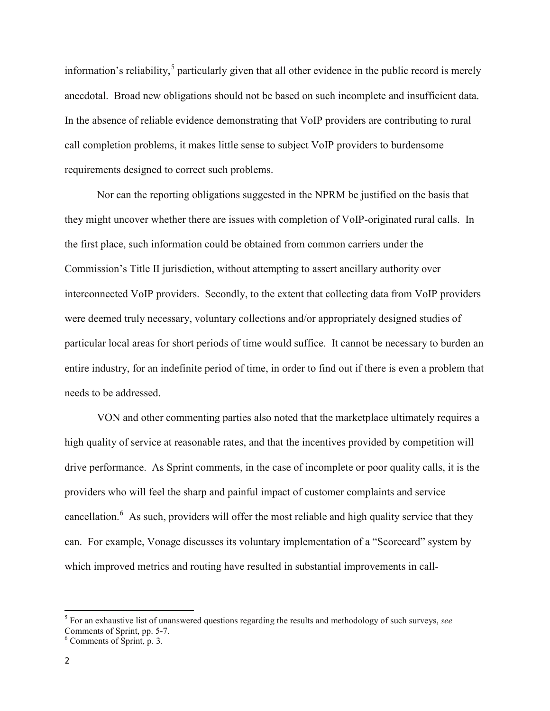information's reliability,<sup>[5](#page-1-0)</sup> particularly given that all other evidence in the public record is merely anecdotal. Broad new obligations should not be based on such incomplete and insufficient data. In the absence of reliable evidence demonstrating that VoIP providers are contributing to rural call completion problems, it makes little sense to subject VoIP providers to burdensome requirements designed to correct such problems.

Nor can the reporting obligations suggested in the NPRM be justified on the basis that they might uncover whether there are issues with completion of VoIP-originated rural calls. In the first place, such information could be obtained from common carriers under the Commission's Title II jurisdiction, without attempting to assert ancillary authority over interconnected VoIP providers. Secondly, to the extent that collecting data from VoIP providers were deemed truly necessary, voluntary collections and/or appropriately designed studies of particular local areas for short periods of time would suffice. It cannot be necessary to burden an entire industry, for an indefinite period of time, in order to find out if there is even a problem that needs to be addressed.

VON and other commenting parties also noted that the marketplace ultimately requires a high quality of service at reasonable rates, and that the incentives provided by competition will drive performance. As Sprint comments, in the case of incomplete or poor quality calls, it is the providers who will feel the sharp and painful impact of customer complaints and service cancellation.<sup>[6](#page-1-1)</sup> As such, providers will offer the most reliable and high quality service that they can. For example, Vonage discusses its voluntary implementation of a "Scorecard" system by which improved metrics and routing have resulted in substantial improvements in call-

<span id="page-1-0"></span><sup>5</sup> For an exhaustive list of unanswered questions regarding the results and methodology of such surveys, *see*

<span id="page-1-1"></span> $6$  Comments of Sprint, p. 3.